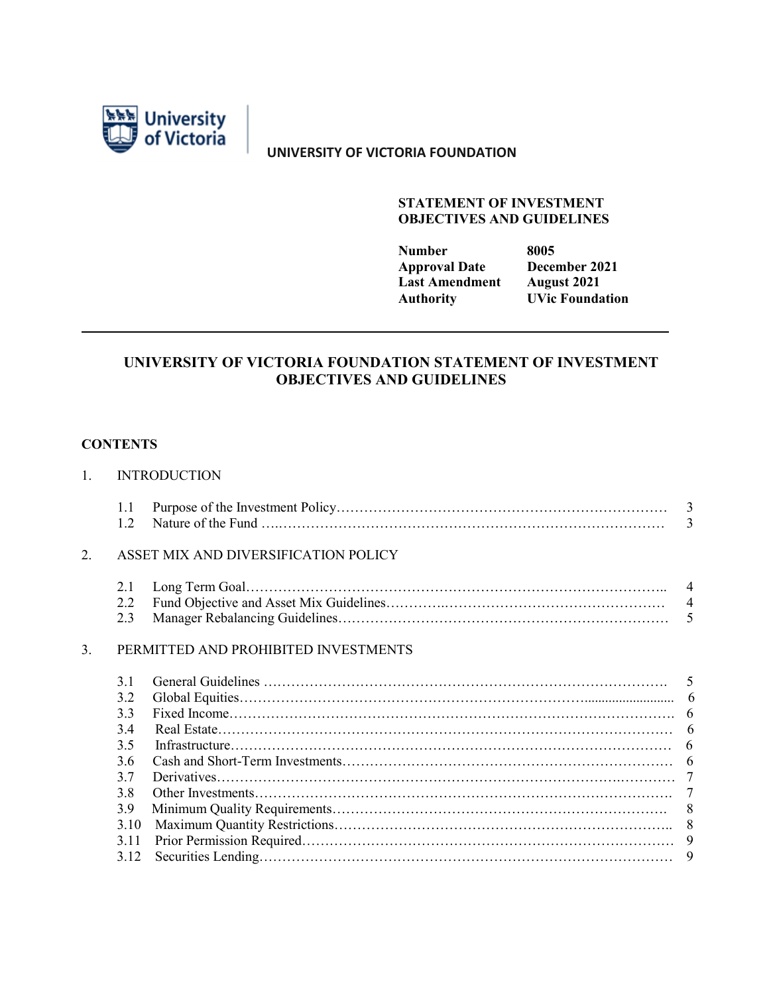

**UNIVERSITY OF VICTORIA FOUNDATION**

#### **STATEMENT OF INVESTMENT OBJECTIVES AND GUIDELINES**

| 8005                   |
|------------------------|
| December 2021          |
| <b>August 2021</b>     |
| <b>UVic Foundation</b> |
|                        |

## **UNIVERSITY OF VICTORIA FOUNDATION STATEMENT OF INVESTMENT OBJECTIVES AND GUIDELINES**

### **CONTENTS**

# 1. INTRODUCTION 1.1 Purpose of the Investment Policy……………………………………………………………… 3 1.2 Nature of the Fund ….………………………………………………………………………… 3 2. ASSET MIX AND DIVERSIFICATION POLICY 2.1 Long Term Goal……………………………………………………………………………….. 4 2.2 Fund Objective and Asset Mix Guidelines………….………………………………………… 4 2.3 Manager Rebalancing Guidelines……………………………………………………………… 5 3. PERMITTED AND PROHIBITED INVESTMENTS 3.1 General Guidelines ……………………………………………………………………………. 5 3.2 Global Equities………………………………………………………………….......................... 6 3.3 Fixed Income……………………………………………………………………………………. 6 3.4 Real Estate……………………………………………………………………………………… 6 3.5 Infrastructure…………………………………………………………………………………… 6 3.6 Cash and Short-Term Investments……………………………………………………………… 6 3.7 Derivatives…………………………………………………………………………….………… 7 3.8 Other Investments………………………………………………………………………………. 7 3.9 Minimum Quality Requirements………………………………………………………………. 8 3.10 Maximum Quantity Restrictions……………………………………………………………….. 8 3.11 Prior Permission Required……………………………………………………………………… 9

3.12 Securities Lending……………………………………………………………………………… 9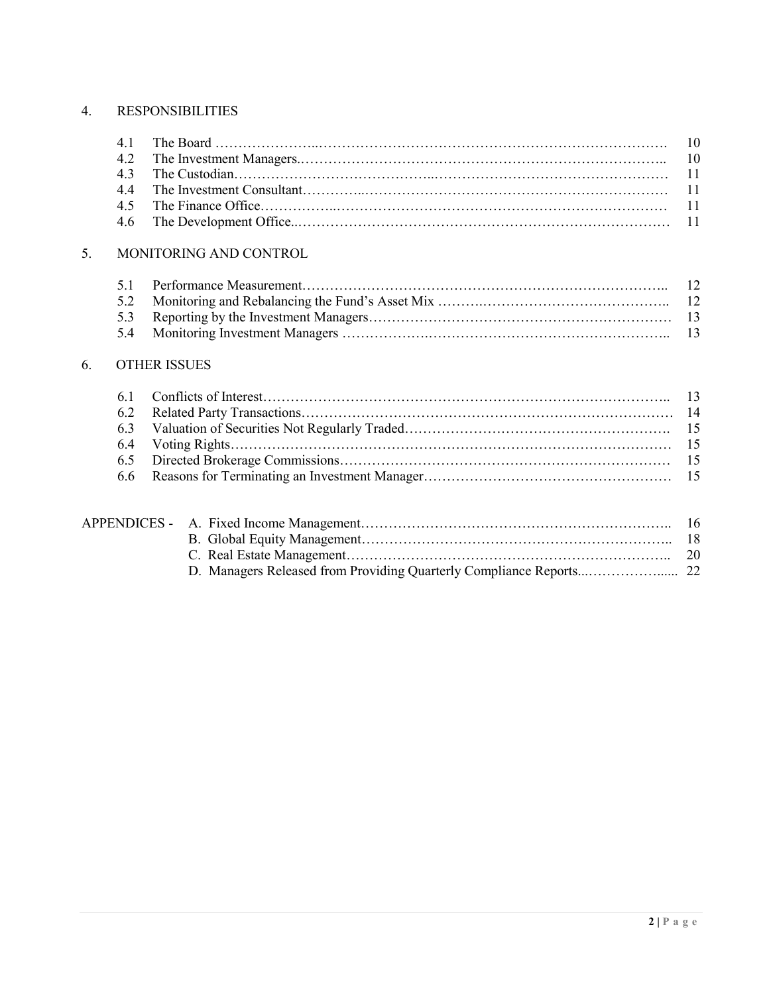## 4. RESPONSIBILITIES

## 5. MONITORING AND CONTROL

## 6. OTHER ISSUES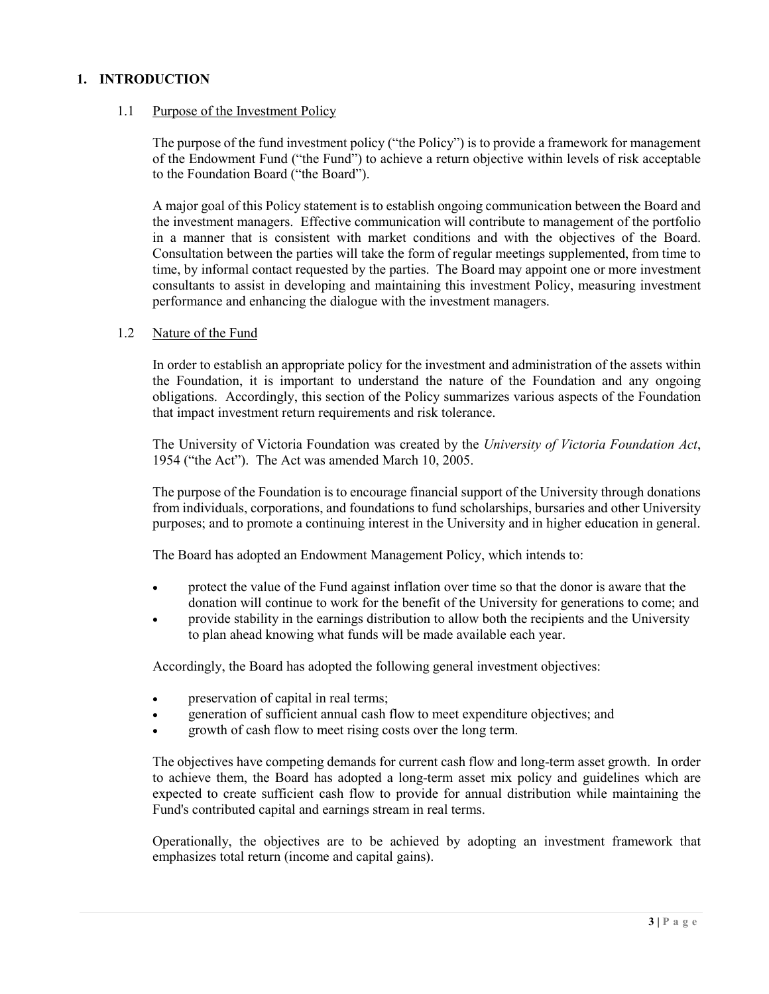### **1. INTRODUCTION**

#### 1.1 Purpose of the Investment Policy

The purpose of the fund investment policy ("the Policy") is to provide a framework for management of the Endowment Fund ("the Fund") to achieve a return objective within levels of risk acceptable to the Foundation Board ("the Board").

A major goal of this Policy statement is to establish ongoing communication between the Board and the investment managers. Effective communication will contribute to management of the portfolio in a manner that is consistent with market conditions and with the objectives of the Board. Consultation between the parties will take the form of regular meetings supplemented, from time to time, by informal contact requested by the parties. The Board may appoint one or more investment consultants to assist in developing and maintaining this investment Policy, measuring investment performance and enhancing the dialogue with the investment managers.

#### 1.2 Nature of the Fund

In order to establish an appropriate policy for the investment and administration of the assets within the Foundation, it is important to understand the nature of the Foundation and any ongoing obligations. Accordingly, this section of the Policy summarizes various aspects of the Foundation that impact investment return requirements and risk tolerance.

The University of Victoria Foundation was created by the *University of Victoria Foundation Act*, 1954 ("the Act"). The Act was amended March 10, 2005.

The purpose of the Foundation is to encourage financial support of the University through donations from individuals, corporations, and foundations to fund scholarships, bursaries and other University purposes; and to promote a continuing interest in the University and in higher education in general.

The Board has adopted an Endowment Management Policy, which intends to:

- protect the value of the Fund against inflation over time so that the donor is aware that the donation will continue to work for the benefit of the University for generations to come; and
- provide stability in the earnings distribution to allow both the recipients and the University to plan ahead knowing what funds will be made available each year.

Accordingly, the Board has adopted the following general investment objectives:

- preservation of capital in real terms;
- generation of sufficient annual cash flow to meet expenditure objectives; and
- growth of cash flow to meet rising costs over the long term.

The objectives have competing demands for current cash flow and long-term asset growth. In order to achieve them, the Board has adopted a long-term asset mix policy and guidelines which are expected to create sufficient cash flow to provide for annual distribution while maintaining the Fund's contributed capital and earnings stream in real terms.

Operationally, the objectives are to be achieved by adopting an investment framework that emphasizes total return (income and capital gains).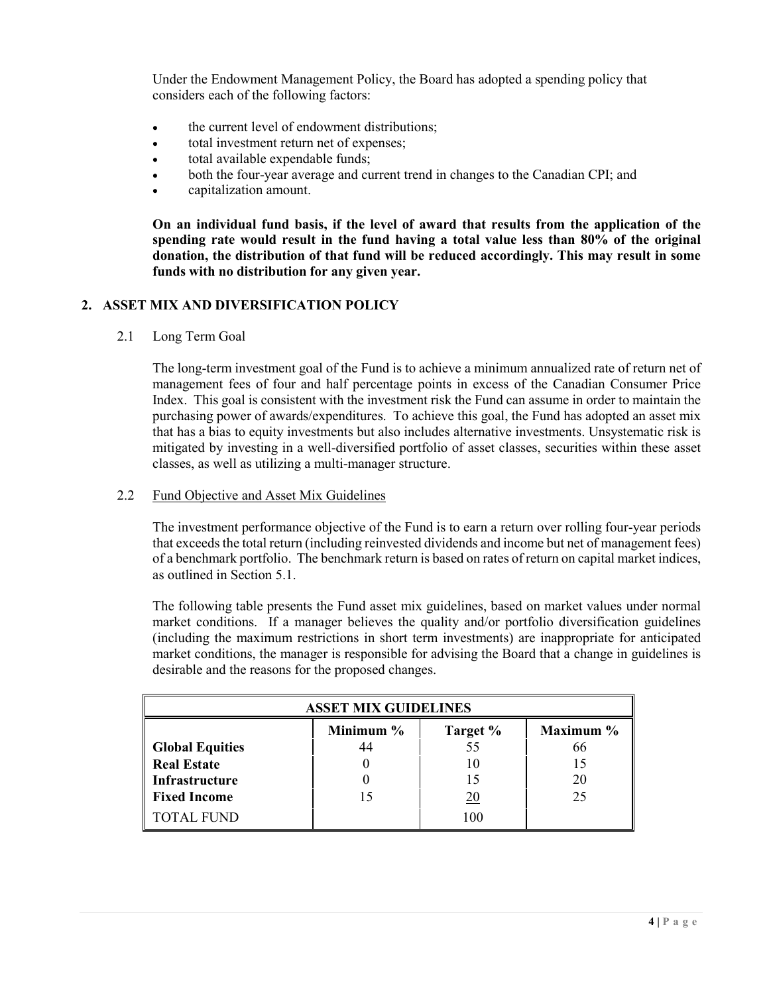Under the Endowment Management Policy, the Board has adopted a spending policy that considers each of the following factors:

- the current level of endowment distributions;
- total investment return net of expenses;
- total available expendable funds;
- both the four-year average and current trend in changes to the Canadian CPI; and
- capitalization amount.

**On an individual fund basis, if the level of award that results from the application of the spending rate would result in the fund having a total value less than 80% of the original donation, the distribution of that fund will be reduced accordingly. This may result in some funds with no distribution for any given year.**

### **2. ASSET MIX AND DIVERSIFICATION POLICY**

2.1 Long Term Goal

The long-term investment goal of the Fund is to achieve a minimum annualized rate of return net of management fees of four and half percentage points in excess of the Canadian Consumer Price Index. This goal is consistent with the investment risk the Fund can assume in order to maintain the purchasing power of awards/expenditures. To achieve this goal, the Fund has adopted an asset mix that has a bias to equity investments but also includes alternative investments. Unsystematic risk is mitigated by investing in a well-diversified portfolio of asset classes, securities within these asset classes, as well as utilizing a multi-manager structure.

### 2.2 Fund Objective and Asset Mix Guidelines

The investment performance objective of the Fund is to earn a return over rolling four-year periods that exceeds the total return (including reinvested dividends and income but net of management fees) of a benchmark portfolio. The benchmark return is based on rates of return on capital market indices, as outlined in Section 5.1.

The following table presents the Fund asset mix guidelines, based on market values under normal market conditions. If a manager believes the quality and/or portfolio diversification guidelines (including the maximum restrictions in short term investments) are inappropriate for anticipated market conditions, the manager is responsible for advising the Board that a change in guidelines is desirable and the reasons for the proposed changes.

| <b>ASSET MIX GUIDELINES</b>        |    |     |    |  |  |
|------------------------------------|----|-----|----|--|--|
| Maximum %<br>Minimum %<br>Target % |    |     |    |  |  |
| <b>Global Equities</b>             | 44 | 55  | 66 |  |  |
| <b>Real Estate</b>                 | 10 |     |    |  |  |
| Infrastructure                     |    | 20  |    |  |  |
| <b>Fixed Income</b>                |    | 20  | 25 |  |  |
| <b>TOTAL FUND</b>                  |    | 100 |    |  |  |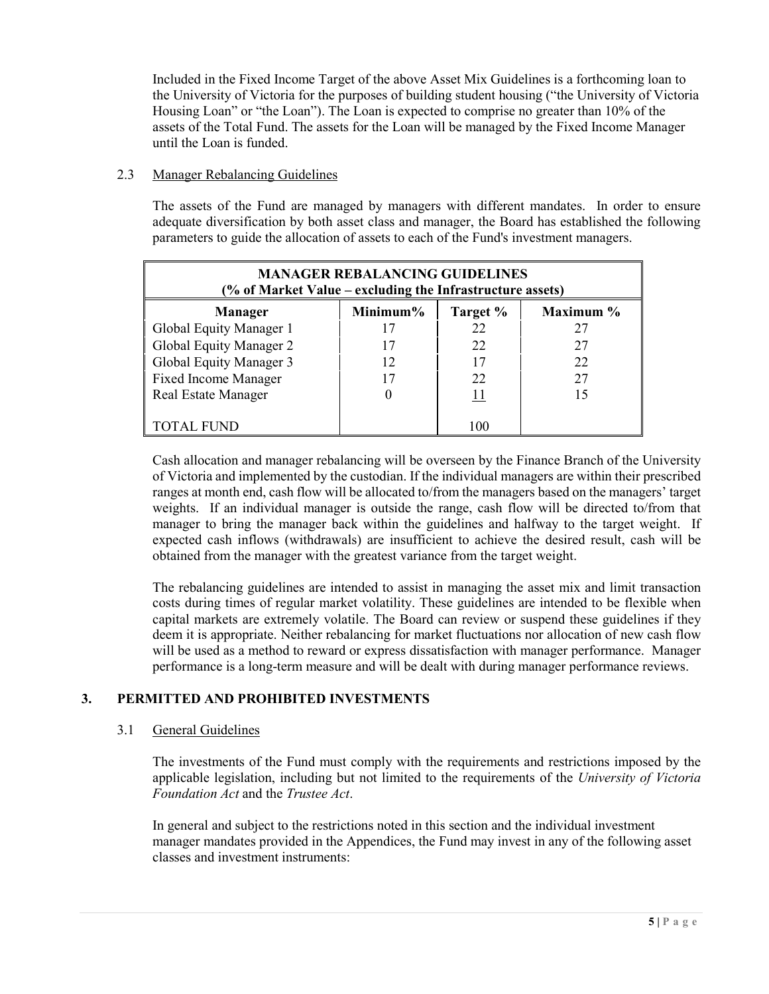Included in the Fixed Income Target of the above Asset Mix Guidelines is a forthcoming loan to the University of Victoria for the purposes of building student housing ("the University of Victoria Housing Loan" or "the Loan"). The Loan is expected to comprise no greater than 10% of the assets of the Total Fund. The assets for the Loan will be managed by the Fixed Income Manager until the Loan is funded.

#### 2.3 Manager Rebalancing Guidelines

The assets of the Fund are managed by managers with different mandates. In order to ensure adequate diversification by both asset class and manager, the Board has established the following parameters to guide the allocation of assets to each of the Fund's investment managers.

| <b>MANAGER REBALANCING GUIDELINES</b><br>(% of Market Value – excluding the Infrastructure assets) |             |            |           |  |  |
|----------------------------------------------------------------------------------------------------|-------------|------------|-----------|--|--|
| <b>Manager</b>                                                                                     | Minimum $%$ | Target %   | Maximum % |  |  |
| Global Equity Manager 1                                                                            |             | 22         | 27        |  |  |
| Global Equity Manager 2                                                                            | 17          | 22         | 27        |  |  |
| Global Equity Manager 3                                                                            | 12          | 17         | 22        |  |  |
| <b>Fixed Income Manager</b>                                                                        | 17          | 22         | 27        |  |  |
| Real Estate Manager                                                                                |             | <u> 11</u> | 15        |  |  |
| TOTAL FUND                                                                                         |             | 100        |           |  |  |

Cash allocation and manager rebalancing will be overseen by the Finance Branch of the University of Victoria and implemented by the custodian. If the individual managers are within their prescribed ranges at month end, cash flow will be allocated to/from the managers based on the managers' target weights. If an individual manager is outside the range, cash flow will be directed to/from that manager to bring the manager back within the guidelines and halfway to the target weight. If expected cash inflows (withdrawals) are insufficient to achieve the desired result, cash will be obtained from the manager with the greatest variance from the target weight.

The rebalancing guidelines are intended to assist in managing the asset mix and limit transaction costs during times of regular market volatility. These guidelines are intended to be flexible when capital markets are extremely volatile. The Board can review or suspend these guidelines if they deem it is appropriate. Neither rebalancing for market fluctuations nor allocation of new cash flow will be used as a method to reward or express dissatisfaction with manager performance. Manager performance is a long-term measure and will be dealt with during manager performance reviews.

### **3. PERMITTED AND PROHIBITED INVESTMENTS**

#### 3.1 General Guidelines

The investments of the Fund must comply with the requirements and restrictions imposed by the applicable legislation, including but not limited to the requirements of the *University of Victoria Foundation Act* and the *Trustee Act*.

In general and subject to the restrictions noted in this section and the individual investment manager mandates provided in the Appendices, the Fund may invest in any of the following asset classes and investment instruments: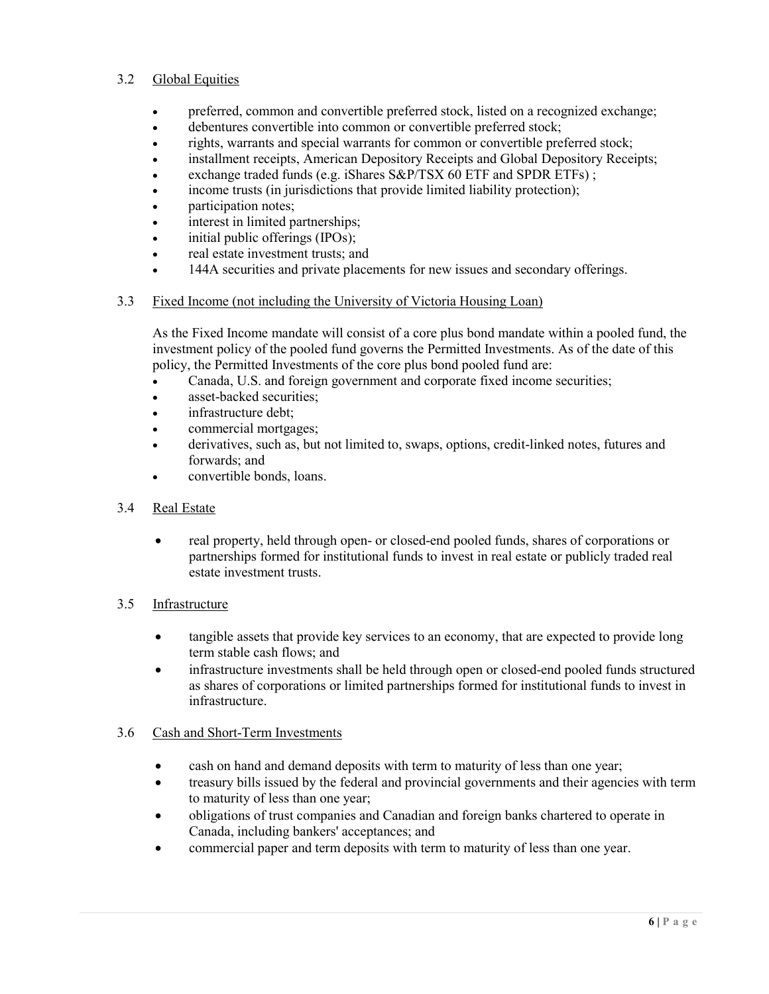### 3.2 Global Equities

- preferred, common and convertible preferred stock, listed on a recognized exchange;
- debentures convertible into common or convertible preferred stock;
- rights, warrants and special warrants for common or convertible preferred stock;
- installment receipts, American Depository Receipts and Global Depository Receipts;
- exchange traded funds (e.g. iShares S&P/TSX 60 ETF and SPDR ETFs);
- income trusts (in jurisdictions that provide limited liability protection);
- **participation notes:**
- interest in limited partnerships;
- initial public offerings (IPOs);
- real estate investment trusts; and
- 144A securities and private placements for new issues and secondary offerings.

### 3.3 Fixed Income (not including the University of Victoria Housing Loan)

As the Fixed Income mandate will consist of a core plus bond mandate within a pooled fund, the investment policy of the pooled fund governs the Permitted Investments. As of the date of this policy, the Permitted Investments of the core plus bond pooled fund are:

- Canada, U.S. and foreign government and corporate fixed income securities;
- asset-backed securities:
- infrastructure debt:
- commercial mortgages;
- derivatives, such as, but not limited to, swaps, options, credit-linked notes, futures and forwards; and
- convertible bonds, loans.
- 3.4 Real Estate
	- real property, held through open- or closed-end pooled funds, shares of corporations or partnerships formed for institutional funds to invest in real estate or publicly traded real estate investment trusts.

### 3.5 Infrastructure

- tangible assets that provide key services to an economy, that are expected to provide long term stable cash flows; and
- infrastructure investments shall be held through open or closed-end pooled funds structured as shares of corporations or limited partnerships formed for institutional funds to invest in infrastructure.

### 3.6 Cash and Short-Term Investments

- cash on hand and demand deposits with term to maturity of less than one year;
- treasury bills issued by the federal and provincial governments and their agencies with term to maturity of less than one year;
- obligations of trust companies and Canadian and foreign banks chartered to operate in Canada, including bankers' acceptances; and
- commercial paper and term deposits with term to maturity of less than one year.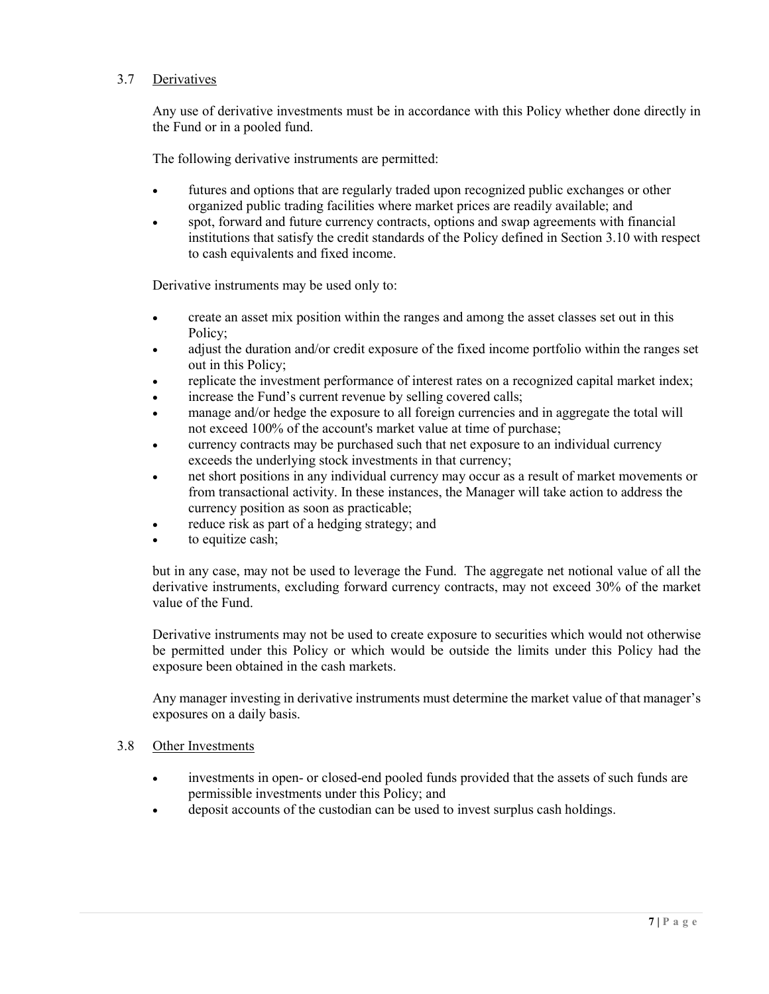### 3.7 Derivatives

Any use of derivative investments must be in accordance with this Policy whether done directly in the Fund or in a pooled fund.

The following derivative instruments are permitted:

- futures and options that are regularly traded upon recognized public exchanges or other organized public trading facilities where market prices are readily available; and
- spot, forward and future currency contracts, options and swap agreements with financial institutions that satisfy the credit standards of the Policy defined in Section 3.10 with respect to cash equivalents and fixed income.

Derivative instruments may be used only to:

- create an asset mix position within the ranges and among the asset classes set out in this Policy;
- adjust the duration and/or credit exposure of the fixed income portfolio within the ranges set out in this Policy;
- replicate the investment performance of interest rates on a recognized capital market index;
- increase the Fund's current revenue by selling covered calls;
- manage and/or hedge the exposure to all foreign currencies and in aggregate the total will not exceed 100% of the account's market value at time of purchase;
- currency contracts may be purchased such that net exposure to an individual currency exceeds the underlying stock investments in that currency;
- net short positions in any individual currency may occur as a result of market movements or from transactional activity. In these instances, the Manager will take action to address the currency position as soon as practicable;
- reduce risk as part of a hedging strategy; and
- to equitize cash;

but in any case, may not be used to leverage the Fund. The aggregate net notional value of all the derivative instruments, excluding forward currency contracts, may not exceed 30% of the market value of the Fund.

Derivative instruments may not be used to create exposure to securities which would not otherwise be permitted under this Policy or which would be outside the limits under this Policy had the exposure been obtained in the cash markets.

Any manager investing in derivative instruments must determine the market value of that manager's exposures on a daily basis.

#### 3.8 Other Investments

- investments in open- or closed-end pooled funds provided that the assets of such funds are permissible investments under this Policy; and
- deposit accounts of the custodian can be used to invest surplus cash holdings.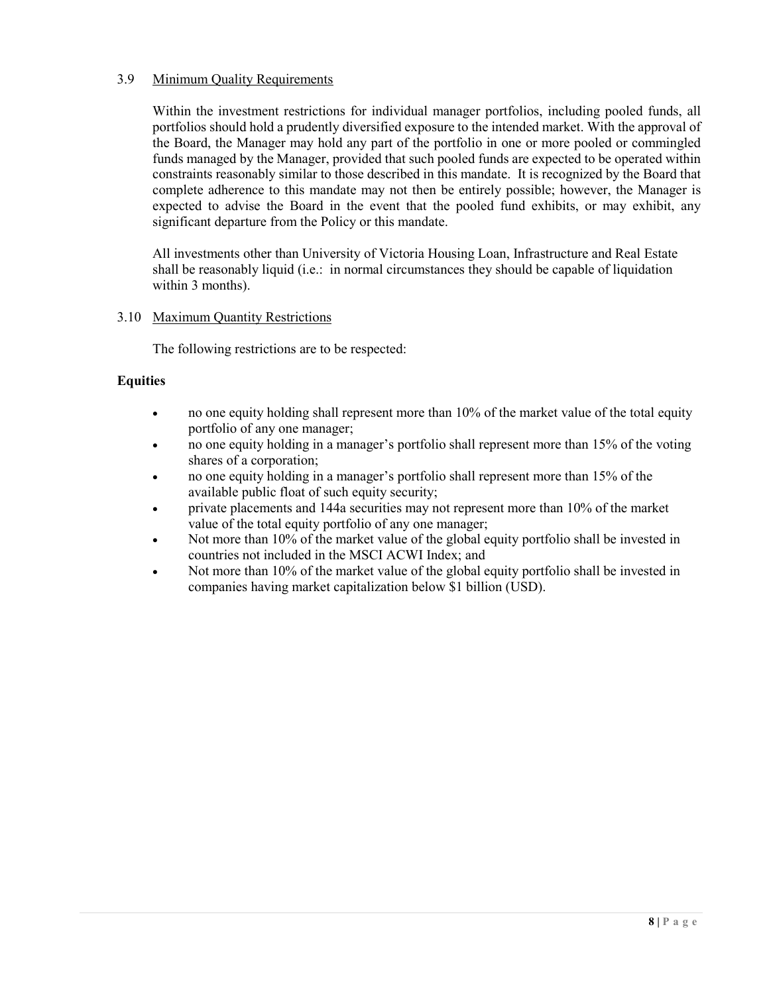### 3.9 Minimum Quality Requirements

Within the investment restrictions for individual manager portfolios, including pooled funds, all portfolios should hold a prudently diversified exposure to the intended market. With the approval of the Board, the Manager may hold any part of the portfolio in one or more pooled or commingled funds managed by the Manager, provided that such pooled funds are expected to be operated within constraints reasonably similar to those described in this mandate. It is recognized by the Board that complete adherence to this mandate may not then be entirely possible; however, the Manager is expected to advise the Board in the event that the pooled fund exhibits, or may exhibit, any significant departure from the Policy or this mandate.

All investments other than University of Victoria Housing Loan, Infrastructure and Real Estate shall be reasonably liquid (i.e.: in normal circumstances they should be capable of liquidation within 3 months).

### 3.10 Maximum Quantity Restrictions

The following restrictions are to be respected:

#### **Equities**

- no one equity holding shall represent more than 10% of the market value of the total equity portfolio of any one manager;
- no one equity holding in a manager's portfolio shall represent more than 15% of the voting shares of a corporation;
- no one equity holding in a manager's portfolio shall represent more than 15% of the available public float of such equity security;
- private placements and 144a securities may not represent more than 10% of the market value of the total equity portfolio of any one manager;
- Not more than 10% of the market value of the global equity portfolio shall be invested in countries not included in the MSCI ACWI Index; and
- Not more than 10% of the market value of the global equity portfolio shall be invested in companies having market capitalization below \$1 billion (USD).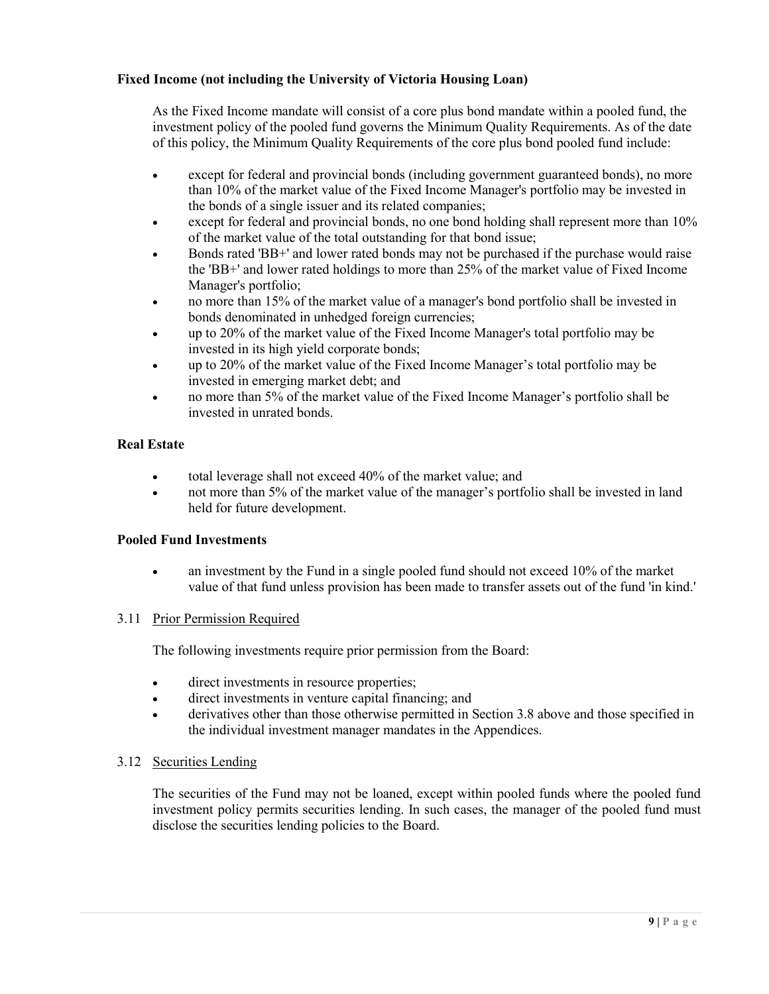### **Fixed Income (not including the University of Victoria Housing Loan)**

As the Fixed Income mandate will consist of a core plus bond mandate within a pooled fund, the investment policy of the pooled fund governs the Minimum Quality Requirements. As of the date of this policy, the Minimum Quality Requirements of the core plus bond pooled fund include:

- except for federal and provincial bonds (including government guaranteed bonds), no more than 10% of the market value of the Fixed Income Manager's portfolio may be invested in the bonds of a single issuer and its related companies;
- except for federal and provincial bonds, no one bond holding shall represent more than 10% of the market value of the total outstanding for that bond issue;
- Bonds rated 'BB+' and lower rated bonds may not be purchased if the purchase would raise the 'BB+' and lower rated holdings to more than 25% of the market value of Fixed Income Manager's portfolio;
- no more than 15% of the market value of a manager's bond portfolio shall be invested in bonds denominated in unhedged foreign currencies;
- up to 20% of the market value of the Fixed Income Manager's total portfolio may be invested in its high yield corporate bonds;
- up to 20% of the market value of the Fixed Income Manager's total portfolio may be invested in emerging market debt; and
- no more than 5% of the market value of the Fixed Income Manager's portfolio shall be invested in unrated bonds.

### **Real Estate**

- total leverage shall not exceed 40% of the market value; and
- not more than 5% of the market value of the manager's portfolio shall be invested in land held for future development.

### **Pooled Fund Investments**

• an investment by the Fund in a single pooled fund should not exceed 10% of the market value of that fund unless provision has been made to transfer assets out of the fund 'in kind.'

#### 3.11 Prior Permission Required

The following investments require prior permission from the Board:

- direct investments in resource properties;
- direct investments in venture capital financing; and
- derivatives other than those otherwise permitted in Section 3.8 above and those specified in the individual investment manager mandates in the Appendices.

#### 3.12 Securities Lending

The securities of the Fund may not be loaned, except within pooled funds where the pooled fund investment policy permits securities lending. In such cases, the manager of the pooled fund must disclose the securities lending policies to the Board.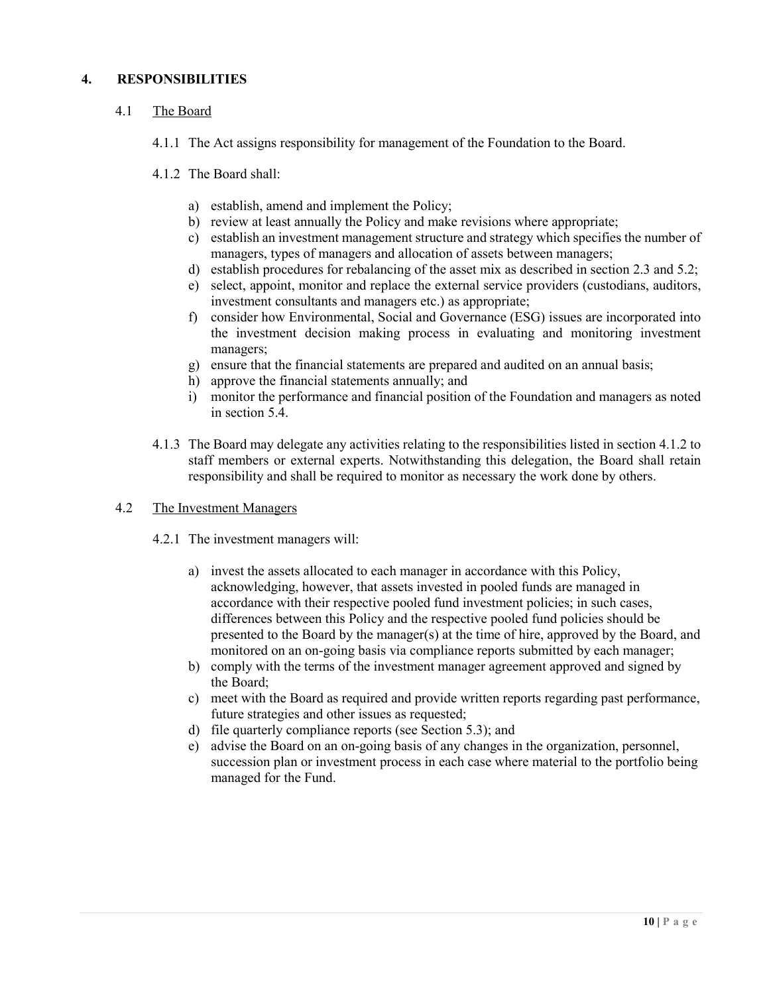### **4. RESPONSIBILITIES**

- 4.1 The Board
	- 4.1.1 The Act assigns responsibility for management of the Foundation to the Board.
	- 4.1.2 The Board shall:
		- a) establish, amend and implement the Policy;
		- b) review at least annually the Policy and make revisions where appropriate;
		- c) establish an investment management structure and strategy which specifies the number of managers, types of managers and allocation of assets between managers;
		- d) establish procedures for rebalancing of the asset mix as described in section 2.3 and 5.2;
		- e) select, appoint, monitor and replace the external service providers (custodians, auditors, investment consultants and managers etc.) as appropriate;
		- f) consider how Environmental, Social and Governance (ESG) issues are incorporated into the investment decision making process in evaluating and monitoring investment managers;
		- g) ensure that the financial statements are prepared and audited on an annual basis;
		- h) approve the financial statements annually; and
		- i) monitor the performance and financial position of the Foundation and managers as noted in section 5.4.
	- 4.1.3 The Board may delegate any activities relating to the responsibilities listed in section 4.1.2 to staff members or external experts. Notwithstanding this delegation, the Board shall retain responsibility and shall be required to monitor as necessary the work done by others.

#### 4.2 The Investment Managers

- 4.2.1 The investment managers will:
	- a) invest the assets allocated to each manager in accordance with this Policy, acknowledging, however, that assets invested in pooled funds are managed in accordance with their respective pooled fund investment policies; in such cases, differences between this Policy and the respective pooled fund policies should be presented to the Board by the manager(s) at the time of hire, approved by the Board, and monitored on an on-going basis via compliance reports submitted by each manager;
	- b) comply with the terms of the investment manager agreement approved and signed by the Board;
	- c) meet with the Board as required and provide written reports regarding past performance, future strategies and other issues as requested;
	- d) file quarterly compliance reports (see Section 5.3); and
	- e) advise the Board on an on-going basis of any changes in the organization, personnel, succession plan or investment process in each case where material to the portfolio being managed for the Fund.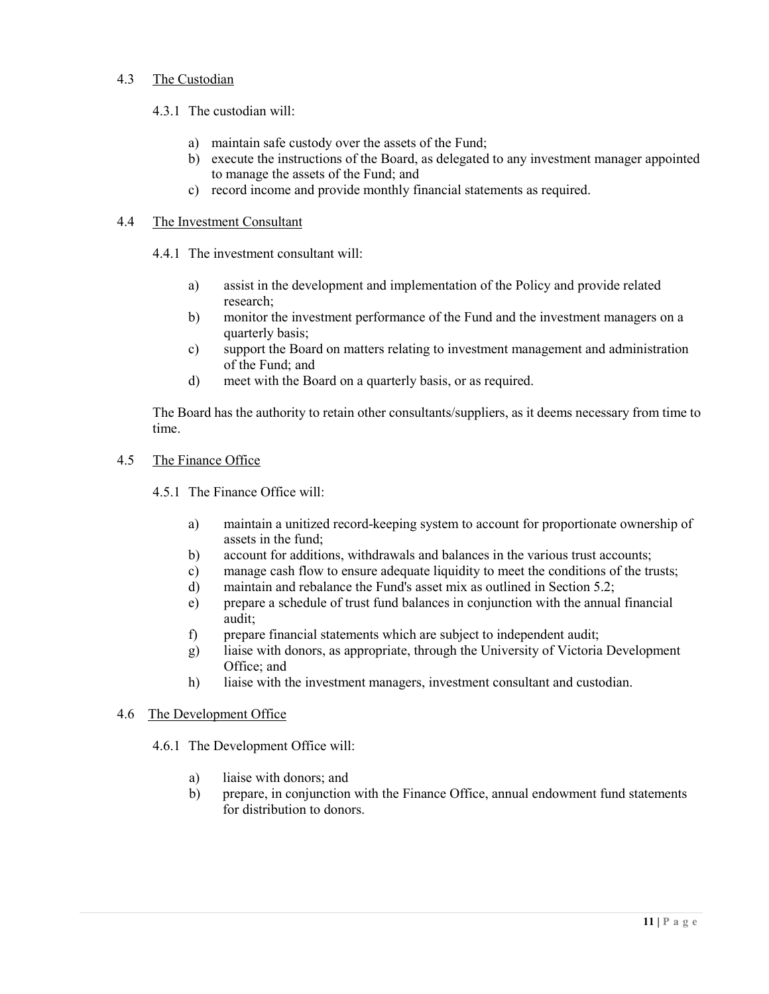### 4.3 The Custodian

#### 4.3.1 The custodian will:

- a) maintain safe custody over the assets of the Fund;
- b) execute the instructions of the Board, as delegated to any investment manager appointed to manage the assets of the Fund; and
- c) record income and provide monthly financial statements as required.

#### 4.4 The Investment Consultant

4.4.1 The investment consultant will:

- a) assist in the development and implementation of the Policy and provide related research;
- b) monitor the investment performance of the Fund and the investment managers on a quarterly basis;
- c) support the Board on matters relating to investment management and administration of the Fund; and
- d) meet with the Board on a quarterly basis, or as required.

The Board has the authority to retain other consultants/suppliers, as it deems necessary from time to time.

#### 4.5 The Finance Office

- 4.5.1 The Finance Office will:
	- a) maintain a unitized record-keeping system to account for proportionate ownership of assets in the fund;
	- b) account for additions, withdrawals and balances in the various trust accounts;
	- c) manage cash flow to ensure adequate liquidity to meet the conditions of the trusts;
	- d) maintain and rebalance the Fund's asset mix as outlined in Section 5.2;
	- e) prepare a schedule of trust fund balances in conjunction with the annual financial audit;
	- f) prepare financial statements which are subject to independent audit;
	- g) liaise with donors, as appropriate, through the University of Victoria Development Office; and
	- h) liaise with the investment managers, investment consultant and custodian.

#### 4.6 The Development Office

- 4.6.1 The Development Office will:
	- a) liaise with donors; and
	- b) prepare, in conjunction with the Finance Office, annual endowment fund statements for distribution to donors.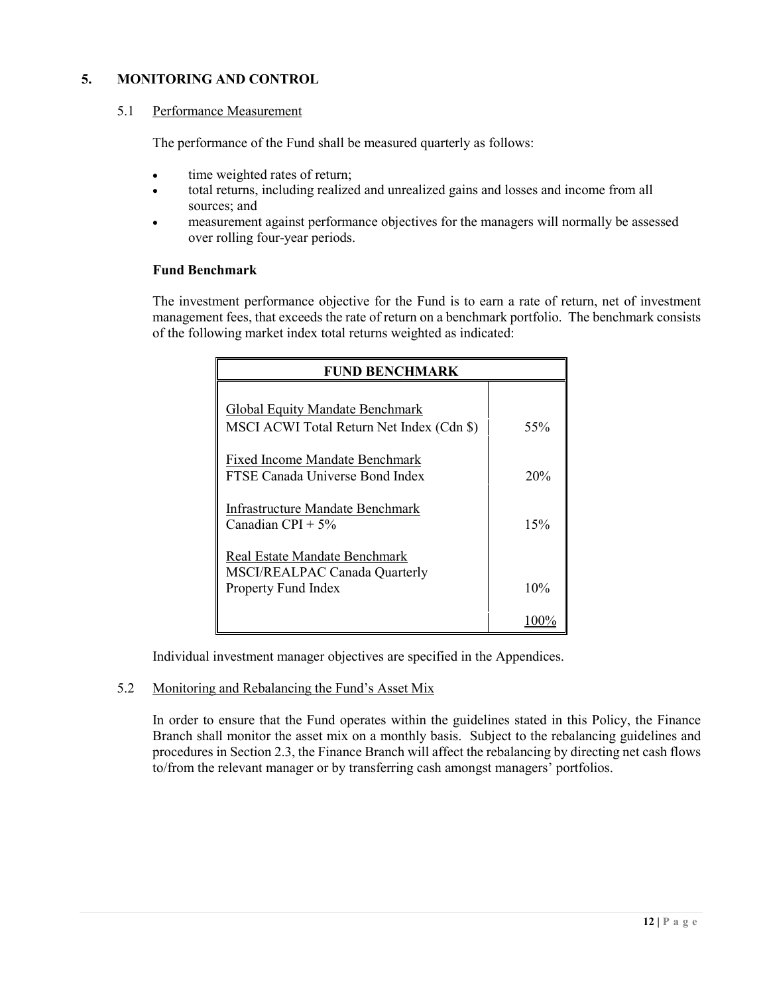### **5. MONITORING AND CONTROL**

#### 5.1 Performance Measurement

The performance of the Fund shall be measured quarterly as follows:

- time weighted rates of return;
- total returns, including realized and unrealized gains and losses and income from all sources; and
- measurement against performance objectives for the managers will normally be assessed over rolling four-year periods.

### **Fund Benchmark**

The investment performance objective for the Fund is to earn a rate of return, net of investment management fees, that exceeds the rate of return on a benchmark portfolio. The benchmark consists of the following market index total returns weighted as indicated:

| <b>FUND BENCHMARK</b>                                                                 |     |
|---------------------------------------------------------------------------------------|-----|
| <b>Global Equity Mandate Benchmark</b><br>MSCI ACWI Total Return Net Index (Cdn \$)   | 55% |
| <b>Fixed Income Mandate Benchmark</b><br>FTSE Canada Universe Bond Index              | 20% |
| Infrastructure Mandate Benchmark<br>Canadian CPI + $5\%$                              | 15% |
| Real Estate Mandate Benchmark<br>MSCI/REALPAC Canada Quarterly<br>Property Fund Index | 10% |
|                                                                                       |     |

Individual investment manager objectives are specified in the Appendices.

#### 5.2 Monitoring and Rebalancing the Fund's Asset Mix

In order to ensure that the Fund operates within the guidelines stated in this Policy, the Finance Branch shall monitor the asset mix on a monthly basis. Subject to the rebalancing guidelines and procedures in Section 2.3, the Finance Branch will affect the rebalancing by directing net cash flows to/from the relevant manager or by transferring cash amongst managers' portfolios.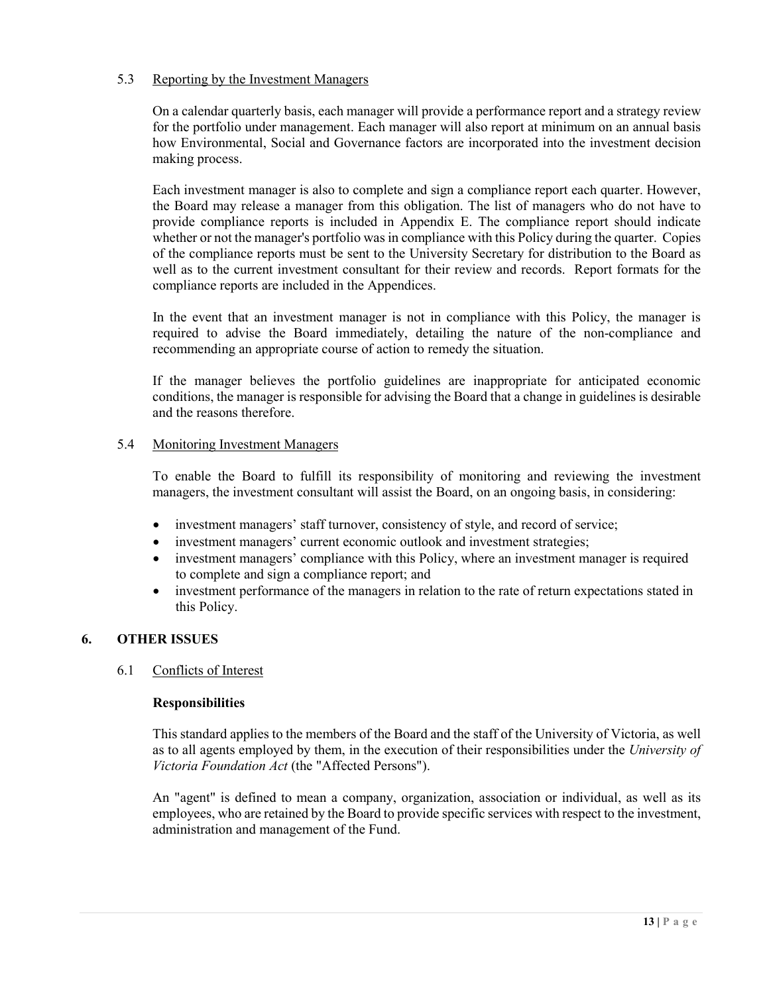### 5.3 Reporting by the Investment Managers

On a calendar quarterly basis, each manager will provide a performance report and a strategy review for the portfolio under management. Each manager will also report at minimum on an annual basis how Environmental, Social and Governance factors are incorporated into the investment decision making process.

Each investment manager is also to complete and sign a compliance report each quarter. However, the Board may release a manager from this obligation. The list of managers who do not have to provide compliance reports is included in Appendix E. The compliance report should indicate whether or not the manager's portfolio was in compliance with this Policy during the quarter. Copies of the compliance reports must be sent to the University Secretary for distribution to the Board as well as to the current investment consultant for their review and records. Report formats for the compliance reports are included in the Appendices.

In the event that an investment manager is not in compliance with this Policy, the manager is required to advise the Board immediately, detailing the nature of the non-compliance and recommending an appropriate course of action to remedy the situation.

If the manager believes the portfolio guidelines are inappropriate for anticipated economic conditions, the manager is responsible for advising the Board that a change in guidelines is desirable and the reasons therefore.

#### 5.4 Monitoring Investment Managers

To enable the Board to fulfill its responsibility of monitoring and reviewing the investment managers, the investment consultant will assist the Board, on an ongoing basis, in considering:

- investment managers' staff turnover, consistency of style, and record of service;
- investment managers' current economic outlook and investment strategies;
- investment managers' compliance with this Policy, where an investment manager is required to complete and sign a compliance report; and
- investment performance of the managers in relation to the rate of return expectations stated in this Policy.

#### **6. OTHER ISSUES**

#### 6.1 Conflicts of Interest

#### **Responsibilities**

This standard applies to the members of the Board and the staff of the University of Victoria, as well as to all agents employed by them, in the execution of their responsibilities under the *University of Victoria Foundation Act* (the "Affected Persons").

An "agent" is defined to mean a company, organization, association or individual, as well as its employees, who are retained by the Board to provide specific services with respect to the investment, administration and management of the Fund.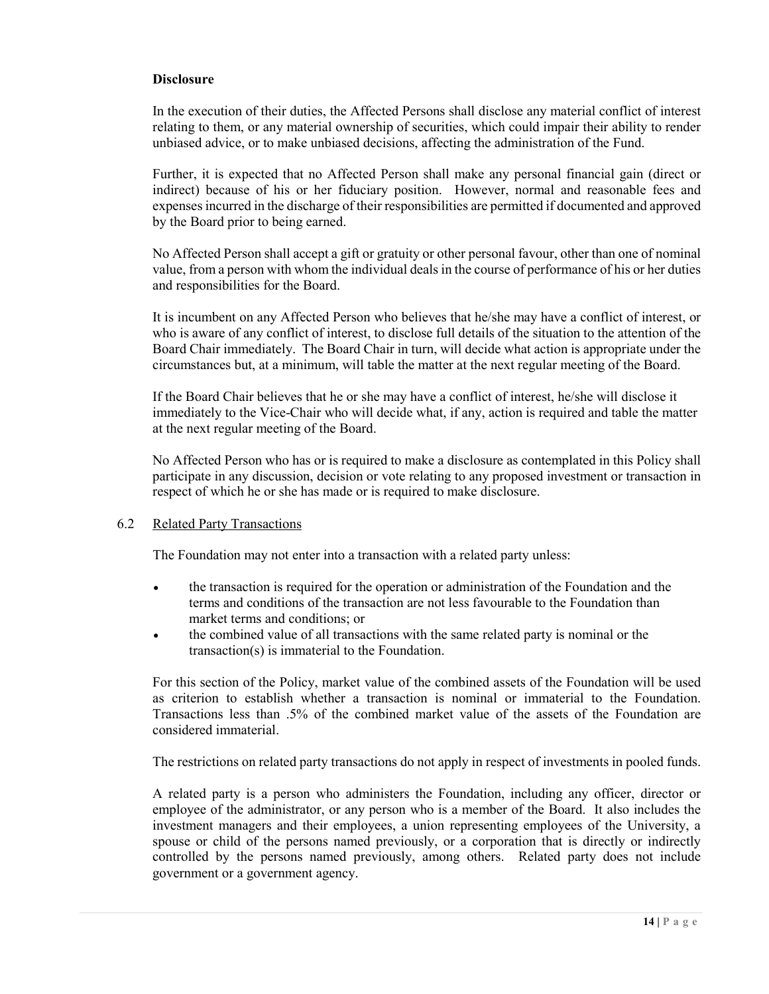#### **Disclosure**

In the execution of their duties, the Affected Persons shall disclose any material conflict of interest relating to them, or any material ownership of securities, which could impair their ability to render unbiased advice, or to make unbiased decisions, affecting the administration of the Fund.

Further, it is expected that no Affected Person shall make any personal financial gain (direct or indirect) because of his or her fiduciary position. However, normal and reasonable fees and expenses incurred in the discharge of their responsibilities are permitted if documented and approved by the Board prior to being earned.

No Affected Person shall accept a gift or gratuity or other personal favour, other than one of nominal value, from a person with whom the individual deals in the course of performance of his or her duties and responsibilities for the Board.

It is incumbent on any Affected Person who believes that he/she may have a conflict of interest, or who is aware of any conflict of interest, to disclose full details of the situation to the attention of the Board Chair immediately. The Board Chair in turn, will decide what action is appropriate under the circumstances but, at a minimum, will table the matter at the next regular meeting of the Board.

If the Board Chair believes that he or she may have a conflict of interest, he/she will disclose it immediately to the Vice-Chair who will decide what, if any, action is required and table the matter at the next regular meeting of the Board.

No Affected Person who has or is required to make a disclosure as contemplated in this Policy shall participate in any discussion, decision or vote relating to any proposed investment or transaction in respect of which he or she has made or is required to make disclosure.

#### 6.2 Related Party Transactions

The Foundation may not enter into a transaction with a related party unless:

- the transaction is required for the operation or administration of the Foundation and the terms and conditions of the transaction are not less favourable to the Foundation than market terms and conditions; or
- the combined value of all transactions with the same related party is nominal or the transaction(s) is immaterial to the Foundation.

For this section of the Policy, market value of the combined assets of the Foundation will be used as criterion to establish whether a transaction is nominal or immaterial to the Foundation. Transactions less than .5% of the combined market value of the assets of the Foundation are considered immaterial.

The restrictions on related party transactions do not apply in respect of investments in pooled funds.

A related party is a person who administers the Foundation, including any officer, director or employee of the administrator, or any person who is a member of the Board. It also includes the investment managers and their employees, a union representing employees of the University, a spouse or child of the persons named previously, or a corporation that is directly or indirectly controlled by the persons named previously, among others. Related party does not include government or a government agency.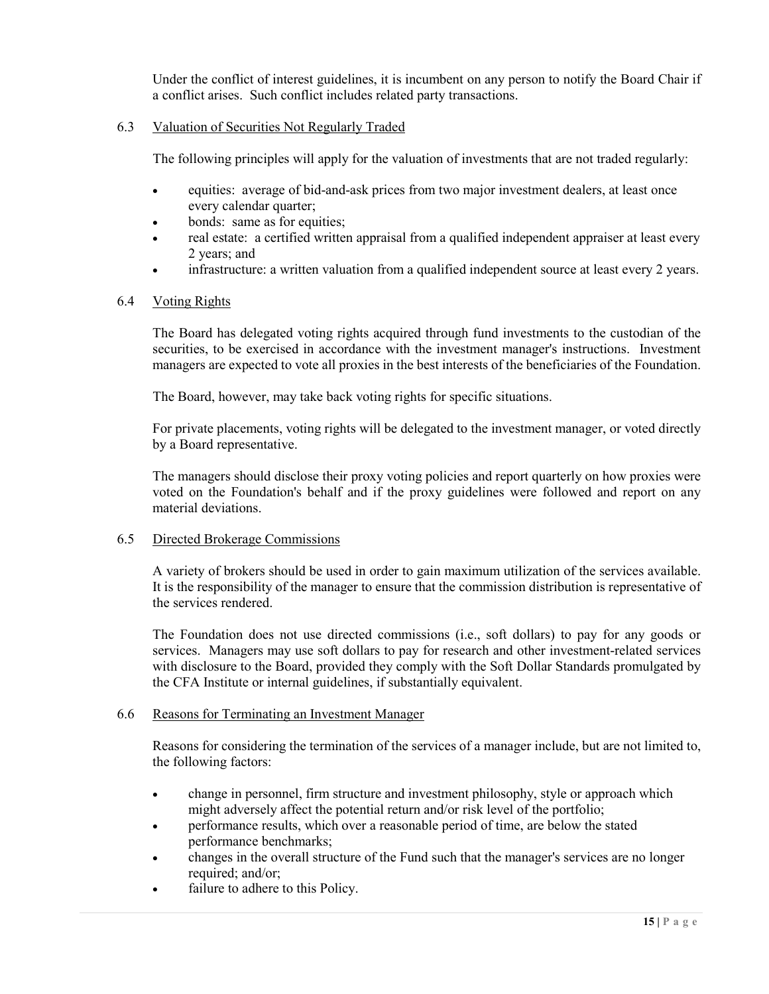Under the conflict of interest guidelines, it is incumbent on any person to notify the Board Chair if a conflict arises. Such conflict includes related party transactions.

#### 6.3 Valuation of Securities Not Regularly Traded

The following principles will apply for the valuation of investments that are not traded regularly:

- equities: average of bid-and-ask prices from two major investment dealers, at least once every calendar quarter;
- bonds: same as for equities;
- real estate: a certified written appraisal from a qualified independent appraiser at least every 2 years; and
- infrastructure: a written valuation from a qualified independent source at least every 2 years.

#### 6.4 Voting Rights

The Board has delegated voting rights acquired through fund investments to the custodian of the securities, to be exercised in accordance with the investment manager's instructions. Investment managers are expected to vote all proxies in the best interests of the beneficiaries of the Foundation.

The Board, however, may take back voting rights for specific situations.

For private placements, voting rights will be delegated to the investment manager, or voted directly by a Board representative.

The managers should disclose their proxy voting policies and report quarterly on how proxies were voted on the Foundation's behalf and if the proxy guidelines were followed and report on any material deviations.

#### 6.5 Directed Brokerage Commissions

A variety of brokers should be used in order to gain maximum utilization of the services available. It is the responsibility of the manager to ensure that the commission distribution is representative of the services rendered.

The Foundation does not use directed commissions (i.e., soft dollars) to pay for any goods or services. Managers may use soft dollars to pay for research and other investment-related services with disclosure to the Board, provided they comply with the Soft Dollar Standards promulgated by the CFA Institute or internal guidelines, if substantially equivalent.

#### 6.6 Reasons for Terminating an Investment Manager

Reasons for considering the termination of the services of a manager include, but are not limited to, the following factors:

- change in personnel, firm structure and investment philosophy, style or approach which might adversely affect the potential return and/or risk level of the portfolio;
- performance results, which over a reasonable period of time, are below the stated performance benchmarks;
- changes in the overall structure of the Fund such that the manager's services are no longer required; and/or;
- failure to adhere to this Policy.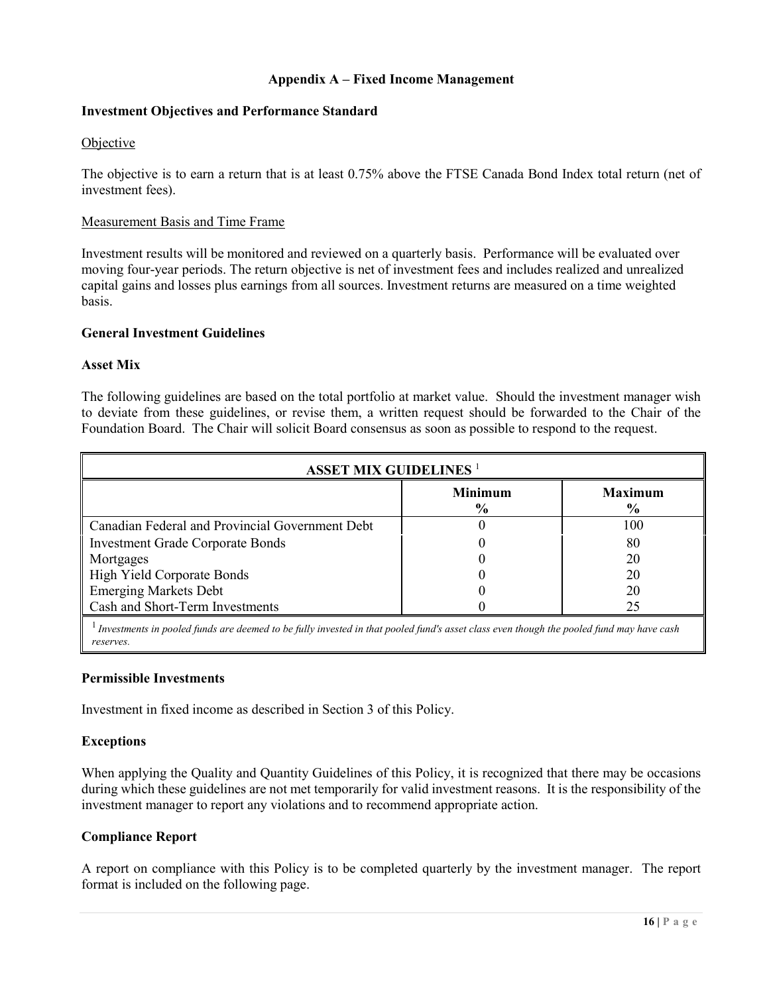### **Appendix A – Fixed Income Management**

#### **Investment Objectives and Performance Standard**

#### **Objective**

The objective is to earn a return that is at least 0.75% above the FTSE Canada Bond Index total return (net of investment fees).

#### Measurement Basis and Time Frame

Investment results will be monitored and reviewed on a quarterly basis. Performance will be evaluated over moving four-year periods. The return objective is net of investment fees and includes realized and unrealized capital gains and losses plus earnings from all sources. Investment returns are measured on a time weighted basis.

#### **General Investment Guidelines**

#### **Asset Mix**

The following guidelines are based on the total portfolio at market value. Should the investment manager wish to deviate from these guidelines, or revise them, a written request should be forwarded to the Chair of the Foundation Board. The Chair will solicit Board consensus as soon as possible to respond to the request.

| <b>ASSET MIX GUIDELINES<sup>1</sup></b>         |                                 |                                 |  |
|-------------------------------------------------|---------------------------------|---------------------------------|--|
|                                                 | <b>Minimum</b><br>$\frac{6}{9}$ | <b>Maximum</b><br>$\frac{6}{6}$ |  |
| Canadian Federal and Provincial Government Debt |                                 | 100                             |  |
| <b>Investment Grade Corporate Bonds</b>         |                                 | 80                              |  |
| Mortgages                                       |                                 | 20                              |  |
| High Yield Corporate Bonds                      |                                 | 20                              |  |
| <b>Emerging Markets Debt</b>                    |                                 | 20                              |  |
| Cash and Short-Term Investments                 |                                 | 25                              |  |
|                                                 |                                 |                                 |  |

<sup>1</sup> *Investments in pooled funds are deemed to be fully invested in that pooled fund's asset class even though the pooled fund may have cash reserves.*

#### **Permissible Investments**

Investment in fixed income as described in Section 3 of this Policy.

#### **Exceptions**

When applying the Quality and Quantity Guidelines of this Policy, it is recognized that there may be occasions during which these guidelines are not met temporarily for valid investment reasons. It is the responsibility of the investment manager to report any violations and to recommend appropriate action.

#### **Compliance Report**

A report on compliance with this Policy is to be completed quarterly by the investment manager. The report format is included on the following page.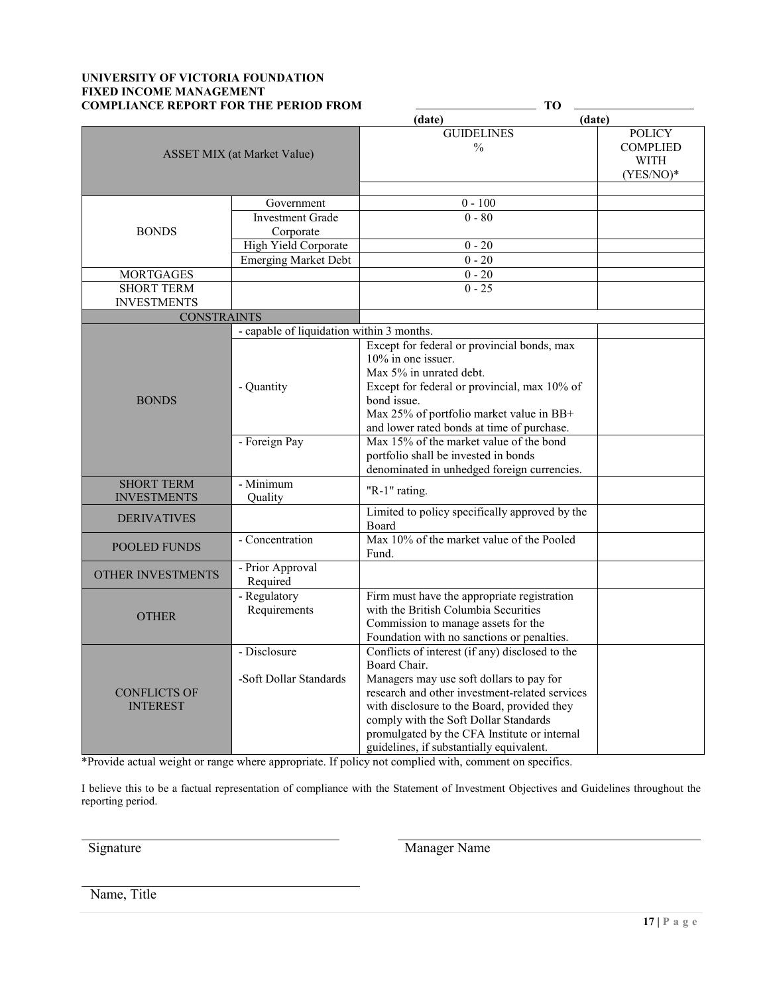#### **UNIVERSITY OF VICTORIA FOUNDATION FIXED INCOME MANAGEMENT COMPLIANCE REPORT FOR THE PERIOD FROM TO**

|                                    |                                           | (date)<br>(date)                                |                                                          |
|------------------------------------|-------------------------------------------|-------------------------------------------------|----------------------------------------------------------|
| <b>ASSET MIX</b> (at Market Value) |                                           | <b>GUIDELINES</b><br>$\frac{0}{0}$              | <b>POLICY</b><br><b>COMPLIED</b><br>WITH<br>$(YES/NO)^*$ |
|                                    | Government                                | $0 - 100$                                       |                                                          |
|                                    | <b>Investment Grade</b>                   | $0 - 80$                                        |                                                          |
| <b>BONDS</b>                       | Corporate                                 |                                                 |                                                          |
|                                    | High Yield Corporate                      | $0 - 20$                                        |                                                          |
|                                    | <b>Emerging Market Debt</b>               | $0 - 20$                                        |                                                          |
| <b>MORTGAGES</b>                   |                                           | $0 - 20$                                        |                                                          |
| <b>SHORT TERM</b>                  |                                           | $0 - 25$                                        |                                                          |
| <b>INVESTMENTS</b>                 |                                           |                                                 |                                                          |
| <b>CONSTRAINTS</b>                 |                                           |                                                 |                                                          |
|                                    | - capable of liquidation within 3 months. |                                                 |                                                          |
|                                    |                                           | Except for federal or provincial bonds, max     |                                                          |
|                                    |                                           | 10% in one issuer.                              |                                                          |
|                                    |                                           | Max 5% in unrated debt.                         |                                                          |
|                                    | - Quantity                                | Except for federal or provincial, max 10% of    |                                                          |
| <b>BONDS</b>                       |                                           | bond issue.                                     |                                                          |
|                                    |                                           | Max 25% of portfolio market value in BB+        |                                                          |
|                                    |                                           | and lower rated bonds at time of purchase.      |                                                          |
|                                    | - Foreign Pay                             | Max 15% of the market value of the bond         |                                                          |
|                                    |                                           | portfolio shall be invested in bonds            |                                                          |
|                                    |                                           | denominated in unhedged foreign currencies.     |                                                          |
| <b>SHORT TERM</b>                  | - Minimum                                 |                                                 |                                                          |
| <b>INVESTMENTS</b>                 | Quality                                   | "R-1" rating.                                   |                                                          |
|                                    |                                           | Limited to policy specifically approved by the  |                                                          |
| <b>DERIVATIVES</b>                 |                                           | Board                                           |                                                          |
|                                    | - Concentration                           | Max 10% of the market value of the Pooled       |                                                          |
| POOLED FUNDS                       |                                           | Fund.                                           |                                                          |
|                                    | - Prior Approval                          |                                                 |                                                          |
| OTHER INVESTMENTS                  | Required                                  |                                                 |                                                          |
|                                    | - Regulatory                              | Firm must have the appropriate registration     |                                                          |
| <b>OTHER</b>                       | Requirements                              | with the British Columbia Securities            |                                                          |
|                                    |                                           | Commission to manage assets for the             |                                                          |
|                                    |                                           | Foundation with no sanctions or penalties.      |                                                          |
|                                    | - Disclosure                              | Conflicts of interest (if any) disclosed to the |                                                          |
|                                    |                                           | Board Chair.                                    |                                                          |
|                                    | -Soft Dollar Standards                    | Managers may use soft dollars to pay for        |                                                          |
| <b>CONFLICTS OF</b>                |                                           | research and other investment-related services  |                                                          |
| <b>INTEREST</b>                    |                                           | with disclosure to the Board, provided they     |                                                          |
|                                    |                                           | comply with the Soft Dollar Standards           |                                                          |
|                                    |                                           | promulgated by the CFA Institute or internal    |                                                          |
|                                    |                                           | guidelines, if substantially equivalent.        |                                                          |

\*Provide actual weight or range where appropriate. If policy not complied with, comment on specifics.

I believe this to be a factual representation of compliance with the Statement of Investment Objectives and Guidelines throughout the reporting period.

Signature Manager Name

Name, Title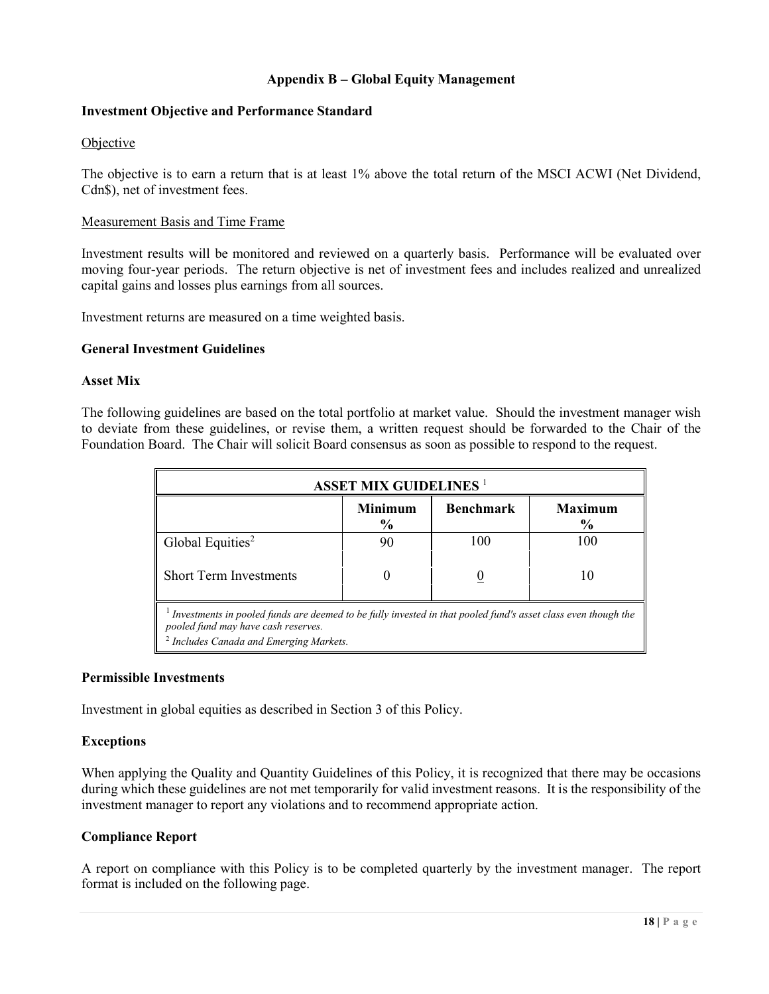### **Appendix B – Global Equity Management**

#### **Investment Objective and Performance Standard**

#### Objective

The objective is to earn a return that is at least 1% above the total return of the MSCI ACWI (Net Dividend, Cdn\$), net of investment fees.

#### Measurement Basis and Time Frame

Investment results will be monitored and reviewed on a quarterly basis. Performance will be evaluated over moving four-year periods. The return objective is net of investment fees and includes realized and unrealized capital gains and losses plus earnings from all sources.

Investment returns are measured on a time weighted basis.

#### **General Investment Guidelines**

#### **Asset Mix**

The following guidelines are based on the total portfolio at market value. Should the investment manager wish to deviate from these guidelines, or revise them, a written request should be forwarded to the Chair of the Foundation Board. The Chair will solicit Board consensus as soon as possible to respond to the request.

| <b>ASSET MIX GUIDELINES<sup>1</sup></b>                                                                                                                                                                    |                        |                  |                                 |  |
|------------------------------------------------------------------------------------------------------------------------------------------------------------------------------------------------------------|------------------------|------------------|---------------------------------|--|
|                                                                                                                                                                                                            | <b>Minimum</b><br>$\%$ | <b>Benchmark</b> | <b>Maximum</b><br>$\frac{6}{9}$ |  |
| Global Equities <sup>2</sup>                                                                                                                                                                               | 90                     | 100              | 100                             |  |
| <b>Short Term Investments</b>                                                                                                                                                                              |                        |                  | 10                              |  |
| Investments in pooled funds are deemed to be fully invested in that pooled fund's asset class even though the<br>pooled fund may have cash reserves.<br><sup>2</sup> Includes Canada and Emerging Markets. |                        |                  |                                 |  |

#### **Permissible Investments**

Investment in global equities as described in Section 3 of this Policy.

#### **Exceptions**

When applying the Quality and Quantity Guidelines of this Policy, it is recognized that there may be occasions during which these guidelines are not met temporarily for valid investment reasons. It is the responsibility of the investment manager to report any violations and to recommend appropriate action.

#### **Compliance Report**

A report on compliance with this Policy is to be completed quarterly by the investment manager. The report format is included on the following page.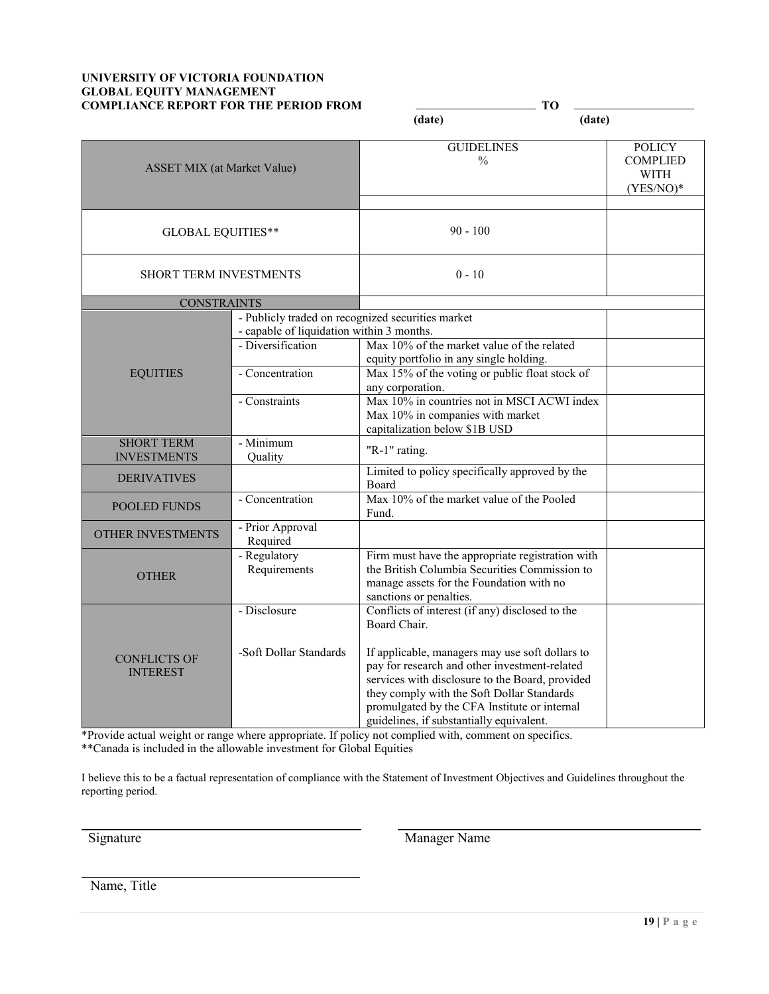#### **UNIVERSITY OF VICTORIA FOUNDATION GLOBAL EQUITY MANAGEMENT COMPLIANCE REPORT FOR THE PERIOD FROM THE TO**

|                                         |                                                                                                                     | (date)                                                                                                                                                                                                                                                                                                                                                           | (date)                                                          |
|-----------------------------------------|---------------------------------------------------------------------------------------------------------------------|------------------------------------------------------------------------------------------------------------------------------------------------------------------------------------------------------------------------------------------------------------------------------------------------------------------------------------------------------------------|-----------------------------------------------------------------|
| <b>ASSET MIX</b> (at Market Value)      |                                                                                                                     | <b>GUIDELINES</b><br>$\%$                                                                                                                                                                                                                                                                                                                                        | <b>POLICY</b><br><b>COMPLIED</b><br><b>WITH</b><br>$(YES/NO)^*$ |
| <b>GLOBAL EQUITIES**</b>                |                                                                                                                     | $90 - 100$                                                                                                                                                                                                                                                                                                                                                       |                                                                 |
| <b>SHORT TERM INVESTMENTS</b>           |                                                                                                                     | $0 - 10$                                                                                                                                                                                                                                                                                                                                                         |                                                                 |
| <b>CONSTRAINTS</b>                      |                                                                                                                     |                                                                                                                                                                                                                                                                                                                                                                  |                                                                 |
|                                         | - Publicly traded on recognized securities market<br>- capable of liquidation within 3 months.<br>- Diversification | Max 10% of the market value of the related<br>equity portfolio in any single holding.                                                                                                                                                                                                                                                                            |                                                                 |
| <b>EQUITIES</b>                         | - Concentration                                                                                                     | Max 15% of the voting or public float stock of<br>any corporation.                                                                                                                                                                                                                                                                                               |                                                                 |
|                                         | - Constraints                                                                                                       | Max 10% in countries not in MSCI ACWI index<br>Max 10% in companies with market<br>capitalization below \$1B USD                                                                                                                                                                                                                                                 |                                                                 |
| <b>SHORT TERM</b><br><b>INVESTMENTS</b> | - Minimum<br>Quality                                                                                                | "R-1" rating.                                                                                                                                                                                                                                                                                                                                                    |                                                                 |
| <b>DERIVATIVES</b>                      |                                                                                                                     | Limited to policy specifically approved by the<br><b>Board</b>                                                                                                                                                                                                                                                                                                   |                                                                 |
| <b>POOLED FUNDS</b>                     | - Concentration                                                                                                     | Max 10% of the market value of the Pooled<br>Fund.                                                                                                                                                                                                                                                                                                               |                                                                 |
| <b>OTHER INVESTMENTS</b>                | - Prior Approval<br>Required                                                                                        |                                                                                                                                                                                                                                                                                                                                                                  |                                                                 |
| <b>OTHER</b>                            | - Regulatory<br>Requirements                                                                                        | Firm must have the appropriate registration with<br>the British Columbia Securities Commission to<br>manage assets for the Foundation with no<br>sanctions or penalties.                                                                                                                                                                                         |                                                                 |
| <b>CONFLICTS OF</b><br><b>INTEREST</b>  | - Disclosure<br>-Soft Dollar Standards                                                                              | Conflicts of interest (if any) disclosed to the<br>Board Chair.<br>If applicable, managers may use soft dollars to<br>pay for research and other investment-related<br>services with disclosure to the Board, provided<br>they comply with the Soft Dollar Standards<br>promulgated by the CFA Institute or internal<br>guidelines, if substantially equivalent. |                                                                 |

\*Provide actual weight or range where appropriate. If policy not complied with, comment on specifics. \*\*Canada is included in the allowable investment for Global Equities

I believe this to be a factual representation of compliance with the Statement of Investment Objectives and Guidelines throughout the reporting period.

Signature Manager Name

Name, Title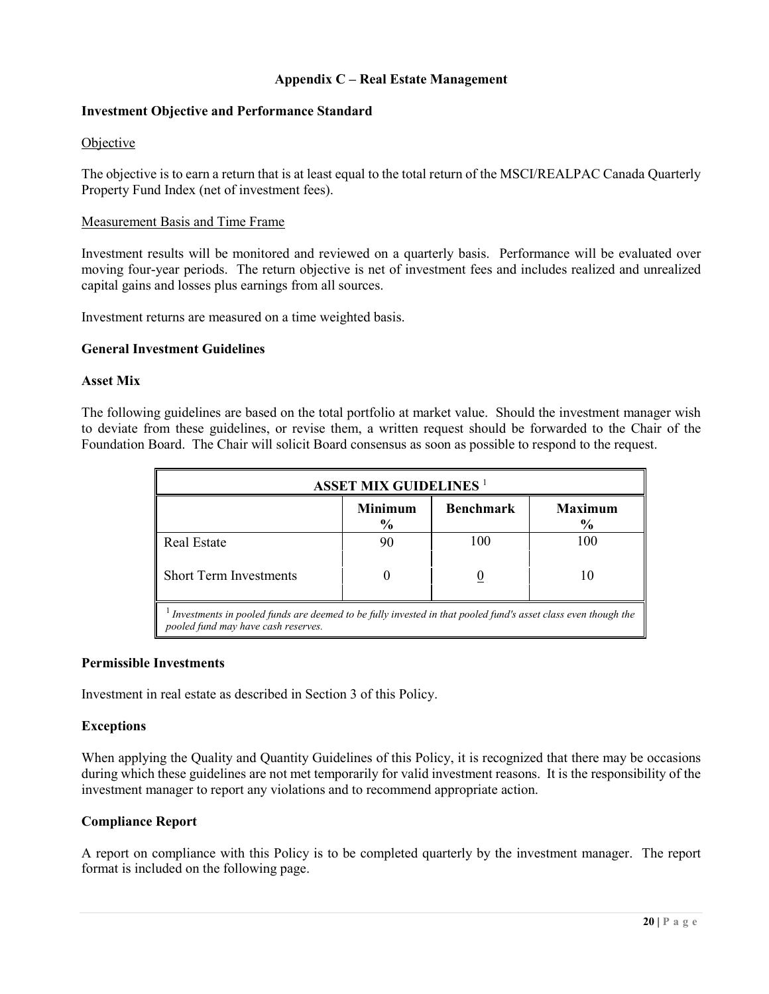### **Appendix C – Real Estate Management**

#### **Investment Objective and Performance Standard**

#### Objective

The objective is to earn a return that is at least equal to the total return of the MSCI/REALPAC Canada Quarterly Property Fund Index (net of investment fees).

#### Measurement Basis and Time Frame

Investment results will be monitored and reviewed on a quarterly basis. Performance will be evaluated over moving four-year periods. The return objective is net of investment fees and includes realized and unrealized capital gains and losses plus earnings from all sources.

Investment returns are measured on a time weighted basis.

#### **General Investment Guidelines**

#### **Asset Mix**

The following guidelines are based on the total portfolio at market value. Should the investment manager wish to deviate from these guidelines, or revise them, a written request should be forwarded to the Chair of the Foundation Board. The Chair will solicit Board consensus as soon as possible to respond to the request.

| <b>ASSET MIX GUIDELINES<sup>1</sup></b>                                                                                                              |                                 |                  |                                 |  |  |
|------------------------------------------------------------------------------------------------------------------------------------------------------|---------------------------------|------------------|---------------------------------|--|--|
|                                                                                                                                                      | <b>Minimum</b><br>$\frac{6}{6}$ | <b>Benchmark</b> | <b>Maximum</b><br>$\frac{6}{6}$ |  |  |
| <b>Real Estate</b>                                                                                                                                   | 90                              | 100              | 100                             |  |  |
| <b>Short Term Investments</b>                                                                                                                        |                                 |                  | 10                              |  |  |
| Investments in pooled funds are deemed to be fully invested in that pooled fund's asset class even though the<br>pooled fund may have cash reserves. |                                 |                  |                                 |  |  |

#### **Permissible Investments**

Investment in real estate as described in Section 3 of this Policy.

#### **Exceptions**

When applying the Quality and Quantity Guidelines of this Policy, it is recognized that there may be occasions during which these guidelines are not met temporarily for valid investment reasons. It is the responsibility of the investment manager to report any violations and to recommend appropriate action.

#### **Compliance Report**

A report on compliance with this Policy is to be completed quarterly by the investment manager. The report format is included on the following page.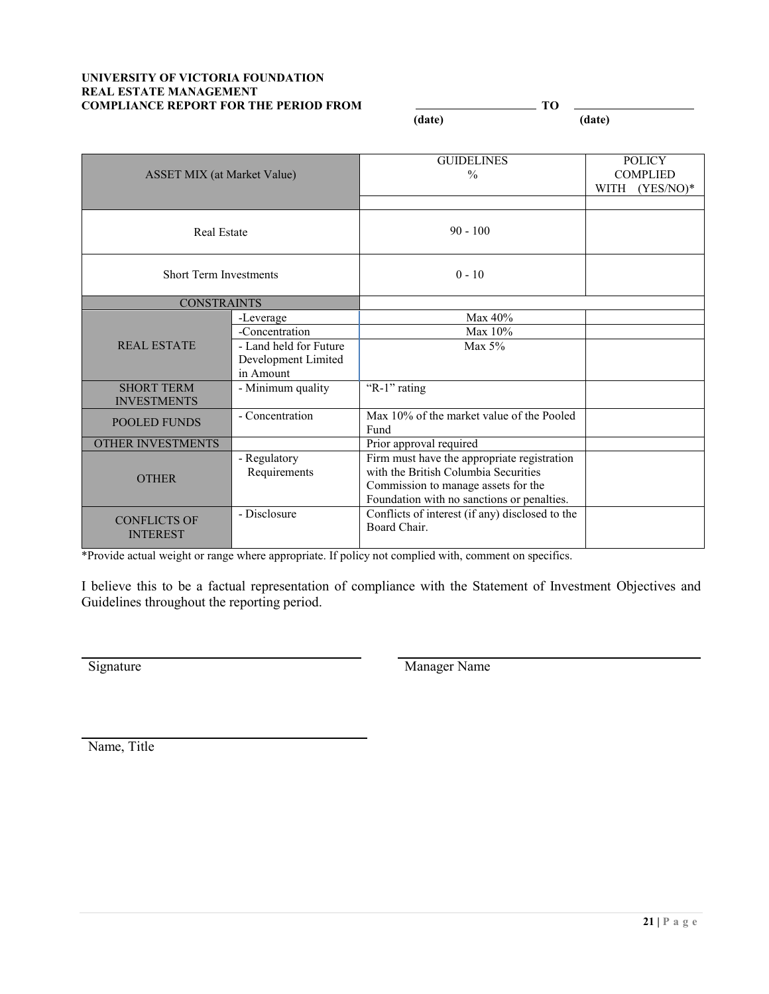#### **UNIVERSITY OF VICTORIA FOUNDATION REAL ESTATE MANAGEMENT COMPLIANCE REPORT FOR THE PERIOD FROM**  $\qquad \qquad$  **TO**

 **(date) (date)**

| <b>ASSET MIX</b> (at Market Value)      |                                                            | <b>GUIDELINES</b><br>$\frac{0}{0}$                                                                                                                                       | <b>POLICY</b><br><b>COMPLIED</b><br>$(YES/NO)^*$<br>WITH |
|-----------------------------------------|------------------------------------------------------------|--------------------------------------------------------------------------------------------------------------------------------------------------------------------------|----------------------------------------------------------|
| Real Estate                             |                                                            | $90 - 100$                                                                                                                                                               |                                                          |
| <b>Short Term Investments</b>           |                                                            | $0 - 10$                                                                                                                                                                 |                                                          |
| <b>CONSTRAINTS</b>                      |                                                            |                                                                                                                                                                          |                                                          |
| <b>REAL ESTATE</b>                      | -Leverage                                                  | Max 40%                                                                                                                                                                  |                                                          |
|                                         | -Concentration                                             | Max 10%                                                                                                                                                                  |                                                          |
|                                         | - Land held for Future<br>Development Limited<br>in Amount | Max $5%$                                                                                                                                                                 |                                                          |
| <b>SHORT TERM</b><br><b>INVESTMENTS</b> | - Minimum quality                                          | "R-1" rating                                                                                                                                                             |                                                          |
| <b>POOLED FUNDS</b>                     | - Concentration                                            | Max 10% of the market value of the Pooled<br>Fund                                                                                                                        |                                                          |
| <b>OTHER INVESTMENTS</b>                |                                                            | Prior approval required                                                                                                                                                  |                                                          |
| <b>OTHER</b>                            | - Regulatory<br>Requirements                               | Firm must have the appropriate registration<br>with the British Columbia Securities<br>Commission to manage assets for the<br>Foundation with no sanctions or penalties. |                                                          |
| <b>CONFLICTS OF</b><br><b>INTEREST</b>  | - Disclosure                                               | Conflicts of interest (if any) disclosed to the<br>Board Chair.                                                                                                          |                                                          |

\*Provide actual weight or range where appropriate. If policy not complied with, comment on specifics.

I believe this to be a factual representation of compliance with the Statement of Investment Objectives and Guidelines throughout the reporting period.

Signature Manager Name

Name, Title